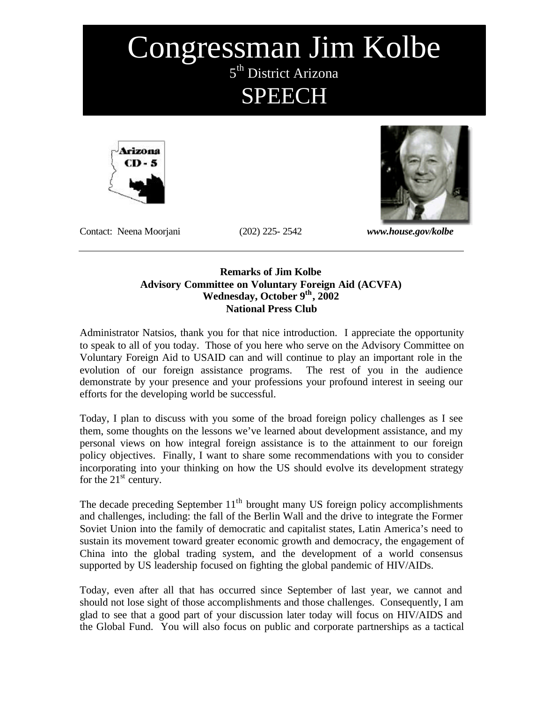# Congressman Jim Kolbe 5<sup>th</sup> District Arizona SPEECH





Contact: Neena Moorjani (202) 225- 2542 *www.house.gov/kolbe* 

#### **Remarks of Jim Kolbe Advisory Committee on Voluntary Foreign Aid (ACVFA)** Wednesday, October 9<sup>th</sup>, 2002 **National Press Club**

Administrator Natsios, thank you for that nice introduction. I appreciate the opportunity to speak to all of you today. Those of you here who serve on the Advisory Committee on Voluntary Foreign Aid to USAID can and will continue to play an important role in the evolution of our foreign assistance programs. The rest of you in the audience demonstrate by your presence and your professions your profound interest in seeing our efforts for the developing world be successful.

Today, I plan to discuss with you some of the broad foreign policy challenges as I see them, some thoughts on the lessons we've learned about development assistance, and my personal views on how integral foreign assistance is to the attainment to our foreign policy objectives. Finally, I want to share some recommendations with you to consider incorporating into your thinking on how the US should evolve its development strategy for the  $21<sup>st</sup>$  century.

The decade preceding September  $11<sup>th</sup>$  brought many US foreign policy accomplishments and challenges, including: the fall of the Berlin Wall and the drive to integrate the Former Soviet Union into the family of democratic and capitalist states, Latin America's need to sustain its movement toward greater economic growth and democracy, the engagement of China into the global trading system, and the development of a world consensus supported by US leadership focused on fighting the global pandemic of HIV/AIDs.

Today, even after all that has occurred since September of last year, we cannot and should not lose sight of those accomplishments and those challenges. Consequently, I am glad to see that a good part of your discussion later today will focus on HIV/AIDS and the Global Fund. You will also focus on public and corporate partnerships as a tactical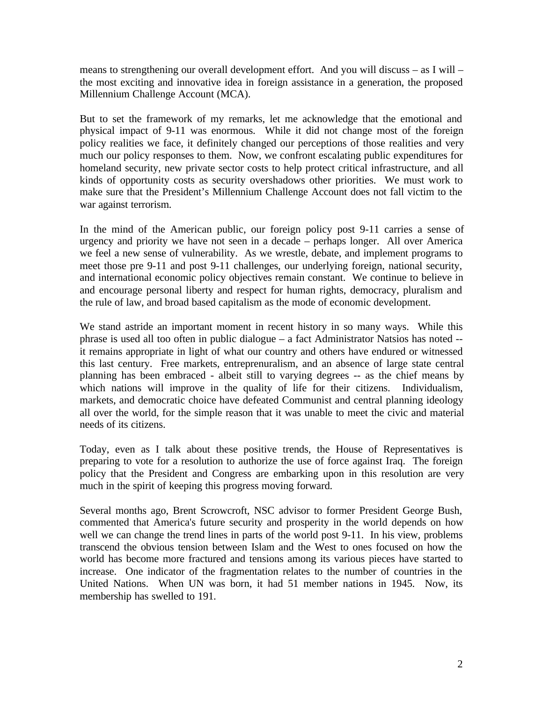means to strengthening our overall development effort. And you will discuss – as I will – the most exciting and innovative idea in foreign assistance in a generation, the proposed Millennium Challenge Account (MCA).

But to set the framework of my remarks, let me acknowledge that the emotional and physical impact of 9-11 was enormous. While it did not change most of the foreign policy realities we face, it definitely changed our perceptions of those realities and very much our policy responses to them. Now, we confront escalating public expenditures for homeland security, new private sector costs to help protect critical infrastructure, and all kinds of opportunity costs as security overshadows other priorities. We must work to make sure that the President's Millennium Challenge Account does not fall victim to the war against terrorism.

In the mind of the American public, our foreign policy post 9-11 carries a sense of urgency and priority we have not seen in a decade – perhaps longer. All over America we feel a new sense of vulnerability. As we wrestle, debate, and implement programs to meet those pre 9-11 and post 9-11 challenges, our underlying foreign, national security, and international economic policy objectives remain constant. We continue to believe in and encourage personal liberty and respect for human rights, democracy, pluralism and the rule of law, and broad based capitalism as the mode of economic development.

We stand astride an important moment in recent history in so many ways. While this phrase is used all too often in public dialogue – a fact Administrator Natsios has noted - it remains appropriate in light of what our country and others have endured or witnessed this last century. Free markets, entreprenuralism, and an absence of large state central planning has been embraced - albeit still to varying degrees -- as the chief means by which nations will improve in the quality of life for their citizens. Individualism, markets, and democratic choice have defeated Communist and central planning ideology all over the world, for the simple reason that it was unable to meet the civic and material needs of its citizens.

Today, even as I talk about these positive trends, the House of Representatives is preparing to vote for a resolution to authorize the use of force against Iraq. The foreign policy that the President and Congress are embarking upon in this resolution are very much in the spirit of keeping this progress moving forward.

Several months ago, Brent Scrowcroft, NSC advisor to former President George Bush, commented that America's future security and prosperity in the world depends on how well we can change the trend lines in parts of the world post 9-11. In his view, problems transcend the obvious tension between Islam and the West to ones focused on how the world has become more fractured and tensions among its various pieces have started to increase. One indicator of the fragmentation relates to the number of countries in the United Nations. When UN was born, it had 51 member nations in 1945. Now, its membership has swelled to 191.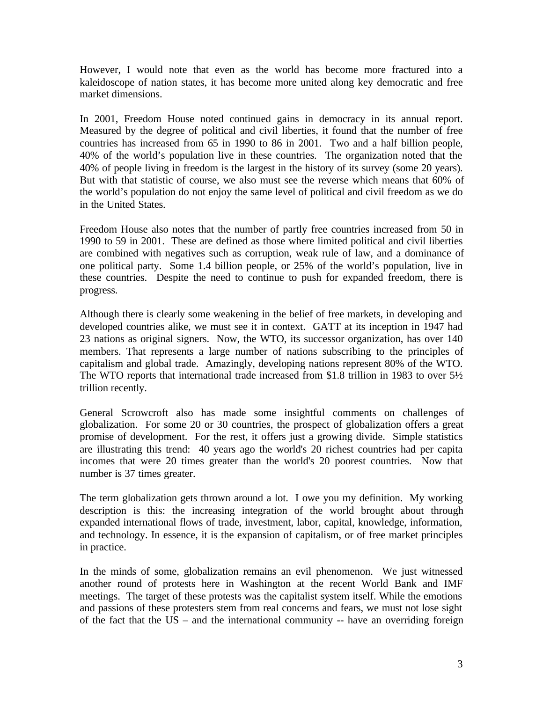However, I would note that even as the world has become more fractured into a kaleidoscope of nation states, it has become more united along key democratic and free market dimensions.

In 2001, Freedom House noted continued gains in democracy in its annual report. Measured by the degree of political and civil liberties, it found that the number of free countries has increased from 65 in 1990 to 86 in 2001. Two and a half billion people, 40% of the world's population live in these countries. The organization noted that the 40% of people living in freedom is the largest in the history of its survey (some 20 years). But with that statistic of course, we also must see the reverse which means that 60% of the world's population do not enjoy the same level of political and civil freedom as we do in the United States.

Freedom House also notes that the number of partly free countries increased from 50 in 1990 to 59 in 2001. These are defined as those where limited political and civil liberties are combined with negatives such as corruption, weak rule of law, and a dominance of one political party. Some 1.4 billion people, or 25% of the world's population, live in these countries. Despite the need to continue to push for expanded freedom, there is progress.

Although there is clearly some weakening in the belief of free markets, in developing and developed countries alike, we must see it in context. GATT at its inception in 1947 had 23 nations as original signers. Now, the WTO, its successor organization, has over 140 members. That represents a large number of nations subscribing to the principles of capitalism and global trade. Amazingly, developing nations represent 80% of the WTO. The WTO reports that international trade increased from \$1.8 trillion in 1983 to over 5½ trillion recently.

General Scrowcroft also has made some insightful comments on challenges of globalization. For some 20 or 30 countries, the prospect of globalization offers a great promise of development. For the rest, it offers just a growing divide. Simple statistics are illustrating this trend: 40 years ago the world's 20 richest countries had per capita incomes that were 20 times greater than the world's 20 poorest countries. Now that number is 37 times greater.

The term globalization gets thrown around a lot. I owe you my definition. My working description is this: the increasing integration of the world brought about through expanded international flows of trade, investment, labor, capital, knowledge, information, and technology. In essence, it is the expansion of capitalism, or of free market principles in practice.

In the minds of some, globalization remains an evil phenomenon. We just witnessed another round of protests here in Washington at the recent World Bank and IMF meetings. The target of these protests was the capitalist system itself. While the emotions and passions of these protesters stem from real concerns and fears, we must not lose sight of the fact that the US – and the international community -- have an overriding foreign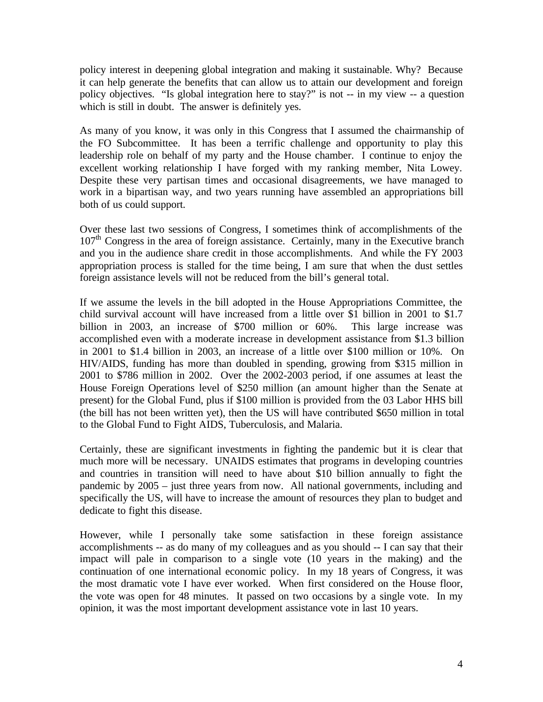policy interest in deepening global integration and making it sustainable. Why? Because it can help generate the benefits that can allow us to attain our development and foreign policy objectives. "Is global integration here to stay?" is not -- in my view -- a question which is still in doubt. The answer is definitely yes.

As many of you know, it was only in this Congress that I assumed the chairmanship of the FO Subcommittee. It has been a terrific challenge and opportunity to play this leadership role on behalf of my party and the House chamber. I continue to enjoy the excellent working relationship I have forged with my ranking member, Nita Lowey. Despite these very partisan times and occasional disagreements, we have managed to work in a bipartisan way, and two years running have assembled an appropriations bill both of us could support.

Over these last two sessions of Congress, I sometimes think of accomplishments of the  $107<sup>th</sup>$  Congress in the area of foreign assistance. Certainly, many in the Executive branch and you in the audience share credit in those accomplishments. And while the FY 2003 appropriation process is stalled for the time being, I am sure that when the dust settles foreign assistance levels will not be reduced from the bill's general total.

If we assume the levels in the bill adopted in the House Appropriations Committee, the child survival account will have increased from a little over \$1 billion in 2001 to \$1.7 billion in 2003, an increase of \$700 million or 60%. This large increase was accomplished even with a moderate increase in development assistance from \$1.3 billion in 2001 to \$1.4 billion in 2003, an increase of a little over \$100 million or 10%. On HIV/AIDS, funding has more than doubled in spending, growing from \$315 million in 2001 to \$786 million in 2002. Over the 2002-2003 period, if one assumes at least the House Foreign Operations level of \$250 million (an amount higher than the Senate at present) for the Global Fund, plus if \$100 million is provided from the 03 Labor HHS bill (the bill has not been written yet), then the US will have contributed \$650 million in total to the Global Fund to Fight AIDS, Tuberculosis, and Malaria.

Certainly, these are significant investments in fighting the pandemic but it is clear that much more will be necessary. UNAIDS estimates that programs in developing countries and countries in transition will need to have about \$10 billion annually to fight the pandemic by 2005 – just three years from now. All national governments, including and specifically the US, will have to increase the amount of resources they plan to budget and dedicate to fight this disease.

However, while I personally take some satisfaction in these foreign assistance accomplishments -- as do many of my colleagues and as you should -- I can say that their impact will pale in comparison to a single vote (10 years in the making) and the continuation of one international economic policy. In my 18 years of Congress, it was the most dramatic vote I have ever worked. When first considered on the House floor, the vote was open for 48 minutes. It passed on two occasions by a single vote. In my opinion, it was the most important development assistance vote in last 10 years.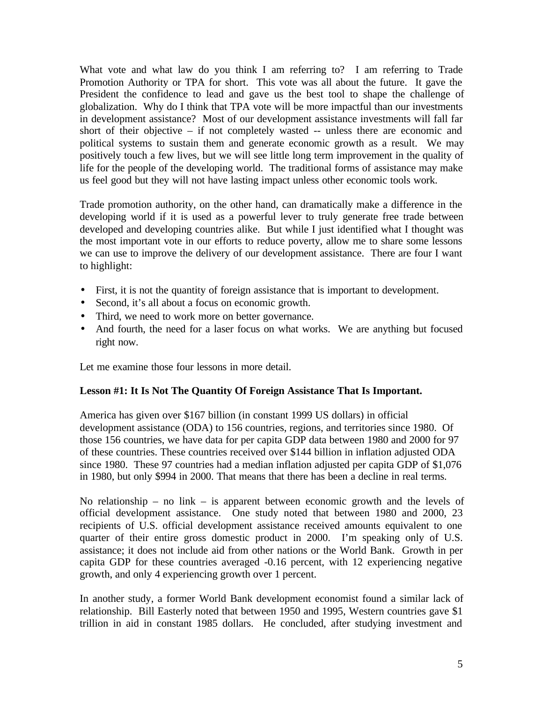What vote and what law do you think I am referring to? I am referring to Trade Promotion Authority or TPA for short. This vote was all about the future. It gave the President the confidence to lead and gave us the best tool to shape the challenge of globalization. Why do I think that TPA vote will be more impactful than our investments in development assistance? Most of our development assistance investments will fall far short of their objective – if not completely wasted -- unless there are economic and political systems to sustain them and generate economic growth as a result. We may positively touch a few lives, but we will see little long term improvement in the quality of life for the people of the developing world. The traditional forms of assistance may make us feel good but they will not have lasting impact unless other economic tools work.

Trade promotion authority, on the other hand, can dramatically make a difference in the developing world if it is used as a powerful lever to truly generate free trade between developed and developing countries alike. But while I just identified what I thought was the most important vote in our efforts to reduce poverty, allow me to share some lessons we can use to improve the delivery of our development assistance. There are four I want to highlight:

- First, it is not the quantity of foreign assistance that is important to development.
- Second, it's all about a focus on economic growth.
- Third, we need to work more on better governance.
- And fourth, the need for a laser focus on what works. We are anything but focused right now.

Let me examine those four lessons in more detail.

#### **Lesson #1: It Is Not The Quantity Of Foreign Assistance That Is Important.**

America has given over \$167 billion (in constant 1999 US dollars) in official development assistance (ODA) to 156 countries, regions, and territories since 1980. Of those 156 countries, we have data for per capita GDP data between 1980 and 2000 for 97 of these countries. These countries received over \$144 billion in inflation adjusted ODA since 1980. These 97 countries had a median inflation adjusted per capita GDP of \$1,076 in 1980, but only \$994 in 2000. That means that there has been a decline in real terms.

No relationship – no link – is apparent between economic growth and the levels of official development assistance. One study noted that between 1980 and 2000, 23 recipients of U.S. official development assistance received amounts equivalent to one quarter of their entire gross domestic product in 2000. I'm speaking only of U.S. assistance; it does not include aid from other nations or the World Bank. Growth in per capita GDP for these countries averaged -0.16 percent, with 12 experiencing negative growth, and only 4 experiencing growth over 1 percent.

In another study, a former World Bank development economist found a similar lack of relationship. Bill Easterly noted that between 1950 and 1995, Western countries gave \$1 trillion in aid in constant 1985 dollars. He concluded, after studying investment and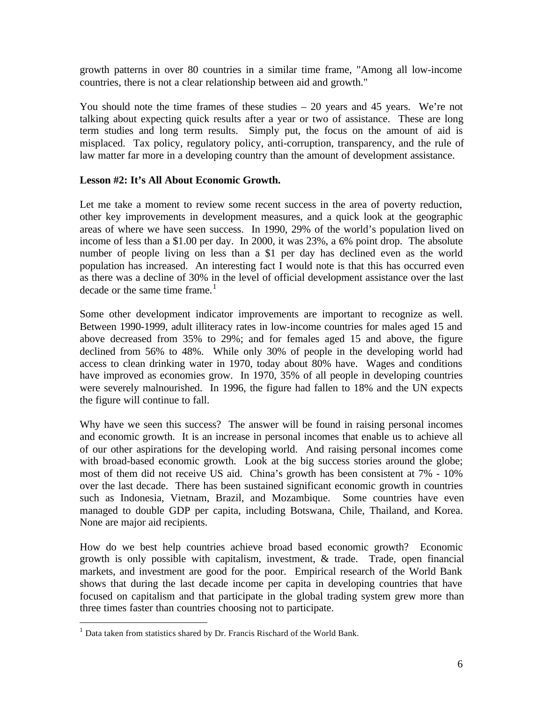growth patterns in over 80 countries in a similar time frame, "Among all low-income countries, there is not a clear relationship between aid and growth."

You should note the time frames of these studies – 20 years and 45 years. We're not talking about expecting quick results after a year or two of assistance. These are long term studies and long term results. Simply put, the focus on the amount of aid is misplaced. Tax policy, regulatory policy, anti-corruption, transparency, and the rule of law matter far more in a developing country than the amount of development assistance.

### **Lesson #2: It's All About Economic Growth.**

Let me take a moment to review some recent success in the area of poverty reduction, other key improvements in development measures, and a quick look at the geographic areas of where we have seen success. In 1990, 29% of the world's population lived on income of less than a \$1.00 per day. In 2000, it was 23%, a 6% point drop. The absolute number of people living on less than a \$1 per day has declined even as the world population has increased. An interesting fact I would note is that this has occurred even as there was a decline of 30% in the level of official development assistance over the last decade or the same time frame. $<sup>1</sup>$ </sup>

Some other development indicator improvements are important to recognize as well. Between 1990-1999, adult illiteracy rates in low-income countries for males aged 15 and above decreased from 35% to 29%; and for females aged 15 and above, the figure declined from 56% to 48%. While only 30% of people in the developing world had access to clean drinking water in 1970, today about 80% have. Wages and conditions have improved as economies grow. In 1970, 35% of all people in developing countries were severely malnourished. In 1996, the figure had fallen to 18% and the UN expects the figure will continue to fall.

Why have we seen this success? The answer will be found in raising personal incomes and economic growth. It is an increase in personal incomes that enable us to achieve all of our other aspirations for the developing world. And raising personal incomes come with broad-based economic growth. Look at the big success stories around the globe; most of them did not receive US aid. China's growth has been consistent at 7% - 10% over the last decade. There has been sustained significant economic growth in countries such as Indonesia, Vietnam, Brazil, and Mozambique. Some countries have even managed to double GDP per capita, including Botswana, Chile, Thailand, and Korea. None are major aid recipients.

How do we best help countries achieve broad based economic growth? Economic growth is only possible with capitalism, investment, & trade. Trade, open financial markets, and investment are good for the poor. Empirical research of the World Bank shows that during the last decade income per capita in developing countries that have focused on capitalism and that participate in the global trading system grew more than three times faster than countries choosing not to participate.

<sup>&</sup>lt;sup>1</sup> Data taken from statistics shared by Dr. Francis Rischard of the World Bank.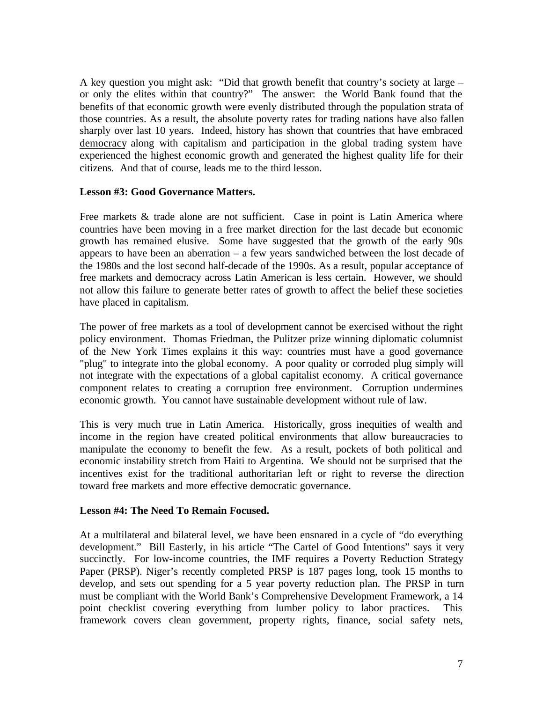A key question you might ask: "Did that growth benefit that country's society at large – or only the elites within that country?" The answer: the World Bank found that the benefits of that economic growth were evenly distributed through the population strata of those countries. As a result, the absolute poverty rates for trading nations have also fallen sharply over last 10 years. Indeed, history has shown that countries that have embraced democracy along with capitalism and participation in the global trading system have experienced the highest economic growth and generated the highest quality life for their citizens. And that of course, leads me to the third lesson.

### **Lesson #3: Good Governance Matters.**

Free markets & trade alone are not sufficient. Case in point is Latin America where countries have been moving in a free market direction for the last decade but economic growth has remained elusive. Some have suggested that the growth of the early 90s appears to have been an aberration – a few years sandwiched between the lost decade of the 1980s and the lost second half-decade of the 1990s. As a result, popular acceptance of free markets and democracy across Latin American is less certain. However, we should not allow this failure to generate better rates of growth to affect the belief these societies have placed in capitalism.

The power of free markets as a tool of development cannot be exercised without the right policy environment. Thomas Friedman, the Pulitzer prize winning diplomatic columnist of the New York Times explains it this way: countries must have a good governance "plug" to integrate into the global economy. A poor quality or corroded plug simply will not integrate with the expectations of a global capitalist economy. A critical governance component relates to creating a corruption free environment. Corruption undermines economic growth. You cannot have sustainable development without rule of law.

This is very much true in Latin America. Historically, gross inequities of wealth and income in the region have created political environments that allow bureaucracies to manipulate the economy to benefit the few. As a result, pockets of both political and economic instability stretch from Haiti to Argentina. We should not be surprised that the incentives exist for the traditional authoritarian left or right to reverse the direction toward free markets and more effective democratic governance.

## **Lesson #4: The Need To Remain Focused.**

At a multilateral and bilateral level, we have been ensnared in a cycle of "do everything development." Bill Easterly, in his article "The Cartel of Good Intentions" says it very succinctly. For low-income countries, the IMF requires a Poverty Reduction Strategy Paper (PRSP). Niger's recently completed PRSP is 187 pages long, took 15 months to develop, and sets out spending for a 5 year poverty reduction plan. The PRSP in turn must be compliant with the World Bank's Comprehensive Development Framework, a 14 point checklist covering everything from lumber policy to labor practices. This framework covers clean government, property rights, finance, social safety nets,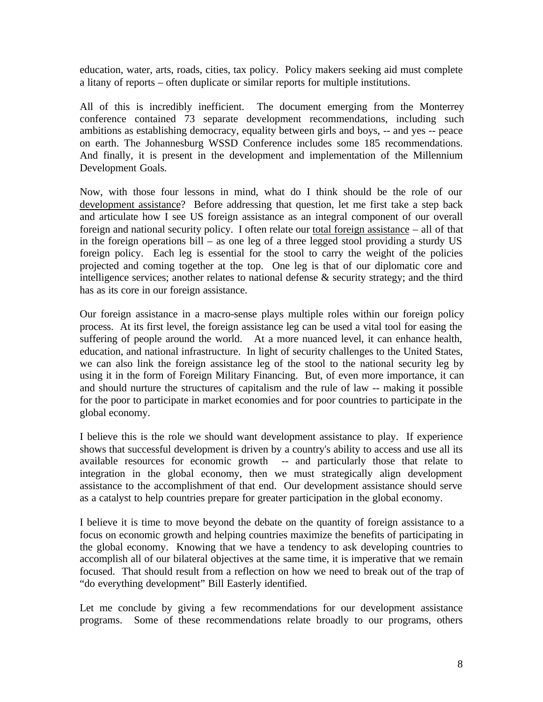education, water, arts, roads, cities, tax policy. Policy makers seeking aid must complete a litany of reports – often duplicate or similar reports for multiple institutions.

All of this is incredibly inefficient. The document emerging from the Monterrey conference contained 73 separate development recommendations, including such ambitions as establishing democracy, equality between girls and boys, -- and yes -- peace on earth. The Johannesburg WSSD Conference includes some 185 recommendations. And finally, it is present in the development and implementation of the Millennium Development Goals.

Now, with those four lessons in mind, what do I think should be the role of our development assistance? Before addressing that question, let me first take a step back and articulate how I see US foreign assistance as an integral component of our overall foreign and national security policy. I often relate our total foreign assistance – all of that in the foreign operations bill – as one leg of a three legged stool providing a sturdy US foreign policy. Each leg is essential for the stool to carry the weight of the policies projected and coming together at the top. One leg is that of our diplomatic core and intelligence services; another relates to national defense & security strategy; and the third has as its core in our foreign assistance.

Our foreign assistance in a macro-sense plays multiple roles within our foreign policy process. At its first level, the foreign assistance leg can be used a vital tool for easing the suffering of people around the world. At a more nuanced level, it can enhance health, education, and national infrastructure. In light of security challenges to the United States, we can also link the foreign assistance leg of the stool to the national security leg by using it in the form of Foreign Military Financing. But, of even more importance, it can and should nurture the structures of capitalism and the rule of law -- making it possible for the poor to participate in market economies and for poor countries to participate in the global economy.

I believe this is the role we should want development assistance to play. If experience shows that successful development is driven by a country's ability to access and use all its available resources for economic growth -- and particularly those that relate to integration in the global economy, then we must strategically align development assistance to the accomplishment of that end. Our development assistance should serve as a catalyst to help countries prepare for greater participation in the global economy.

I believe it is time to move beyond the debate on the quantity of foreign assistance to a focus on economic growth and helping countries maximize the benefits of participating in the global economy. Knowing that we have a tendency to ask developing countries to accomplish all of our bilateral objectives at the same time, it is imperative that we remain focused. That should result from a reflection on how we need to break out of the trap of "do everything development" Bill Easterly identified.

Let me conclude by giving a few recommendations for our development assistance programs. Some of these recommendations relate broadly to our programs, others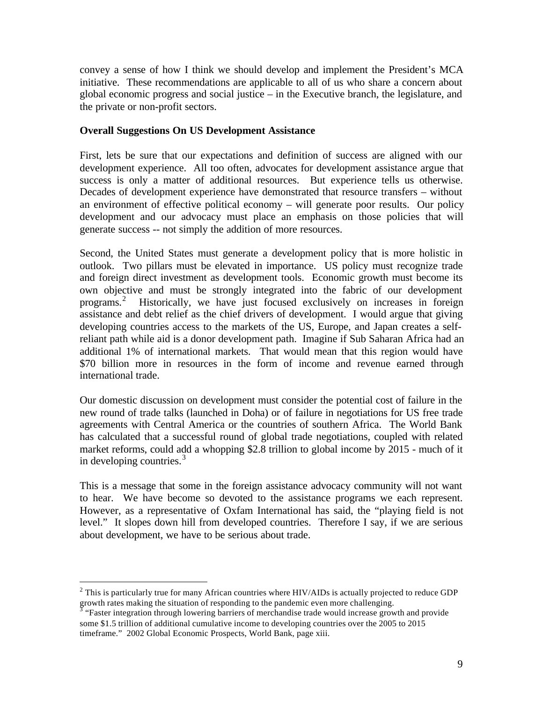convey a sense of how I think we should develop and implement the President's MCA initiative. These recommendations are applicable to all of us who share a concern about global economic progress and social justice – in the Executive branch, the legislature, and the private or non-profit sectors.

### **Overall Suggestions On US Development Assistance**

First, lets be sure that our expectations and definition of success are aligned with our development experience. All too often, advocates for development assistance argue that success is only a matter of additional resources. But experience tells us otherwise. Decades of development experience have demonstrated that resource transfers – without an environment of effective political economy – will generate poor results. Our policy development and our advocacy must place an emphasis on those policies that will generate success -- not simply the addition of more resources.

Second, the United States must generate a development policy that is more holistic in outlook. Two pillars must be elevated in importance. US policy must recognize trade and foreign direct investment as development tools. Economic growth must become its own objective and must be strongly integrated into the fabric of our development programs.2 Historically, we have just focused exclusively on increases in foreign assistance and debt relief as the chief drivers of development. I would argue that giving developing countries access to the markets of the US, Europe, and Japan creates a selfreliant path while aid is a donor development path. Imagine if Sub Saharan Africa had an additional 1% of international markets. That would mean that this region would have \$70 billion more in resources in the form of income and revenue earned through international trade.

Our domestic discussion on development must consider the potential cost of failure in the new round of trade talks (launched in Doha) or of failure in negotiations for US free trade agreements with Central America or the countries of southern Africa. The World Bank has calculated that a successful round of global trade negotiations, coupled with related market reforms, could add a whopping \$2.8 trillion to global income by 2015 - much of it in developing countries. $3$ 

This is a message that some in the foreign assistance advocacy community will not want to hear. We have become so devoted to the assistance programs we each represent. However, as a representative of Oxfam International has said, the "playing field is not level." It slopes down hill from developed countries. Therefore I say, if we are serious about development, we have to be serious about trade.

 $2$  This is particularly true for many African countries where HIV/AIDs is actually projected to reduce GDP growth rates making the situation of responding to the pandemic even more challenging.<br><sup>3</sup> "Faster integration through lowering barriers of merchandise trade would increase growth and provide

some \$1.5 trillion of additional cumulative income to developing countries over the 2005 to 2015 timeframe." 2002 Global Economic Prospects, World Bank, page xiii.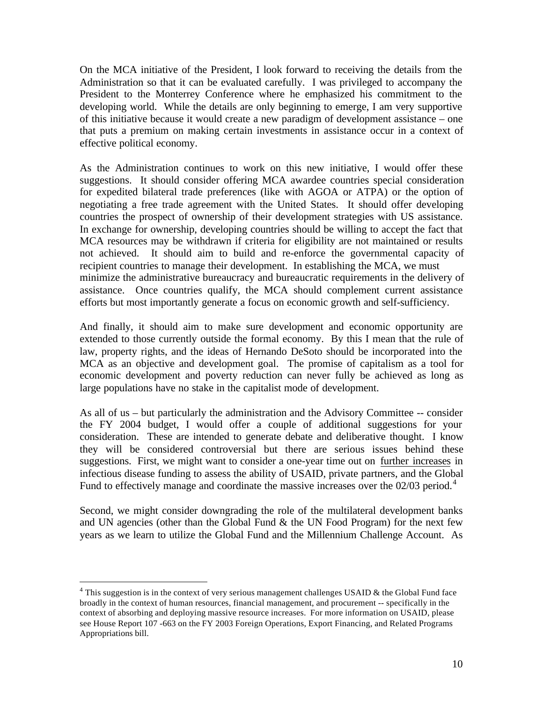On the MCA initiative of the President, I look forward to receiving the details from the Administration so that it can be evaluated carefully. I was privileged to accompany the President to the Monterrey Conference where he emphasized his commitment to the developing world. While the details are only beginning to emerge, I am very supportive of this initiative because it would create a new paradigm of development assistance – one that puts a premium on making certain investments in assistance occur in a context of effective political economy.

As the Administration continues to work on this new initiative, I would offer these suggestions. It should consider offering MCA awardee countries special consideration for expedited bilateral trade preferences (like with AGOA or ATPA) or the option of negotiating a free trade agreement with the United States. It should offer developing countries the prospect of ownership of their development strategies with US assistance. In exchange for ownership, developing countries should be willing to accept the fact that MCA resources may be withdrawn if criteria for eligibility are not maintained or results not achieved. It should aim to build and re-enforce the governmental capacity of recipient countries to manage their development. In establishing the MCA, we must minimize the administrative bureaucracy and bureaucratic requirements in the delivery of assistance. Once countries qualify, the MCA should complement current assistance efforts but most importantly generate a focus on economic growth and self-sufficiency.

And finally, it should aim to make sure development and economic opportunity are extended to those currently outside the formal economy. By this I mean that the rule of law, property rights, and the ideas of Hernando DeSoto should be incorporated into the MCA as an objective and development goal. The promise of capitalism as a tool for economic development and poverty reduction can never fully be achieved as long as large populations have no stake in the capitalist mode of development.

As all of us – but particularly the administration and the Advisory Committee -- consider the FY 2004 budget, I would offer a couple of additional suggestions for your consideration. These are intended to generate debate and deliberative thought. I know they will be considered controversial but there are serious issues behind these suggestions. First, we might want to consider a one-year time out on further increases in infectious disease funding to assess the ability of USAID, private partners, and the Global Fund to effectively manage and coordinate the massive increases over the  $02/03$  period.<sup>4</sup>

Second, we might consider downgrading the role of the multilateral development banks and UN agencies (other than the Global Fund  $\&$  the UN Food Program) for the next few years as we learn to utilize the Global Fund and the Millennium Challenge Account. As

 $4$  This suggestion is in the context of very serious management challenges USAID & the Global Fund face broadly in the context of human resources, financial management, and procurement -- specifically in the context of absorbing and deploying massive resource increases. For more information on USAID, please see House Report 107 -663 on the FY 2003 Foreign Operations, Export Financing, and Related Programs Appropriations bill.